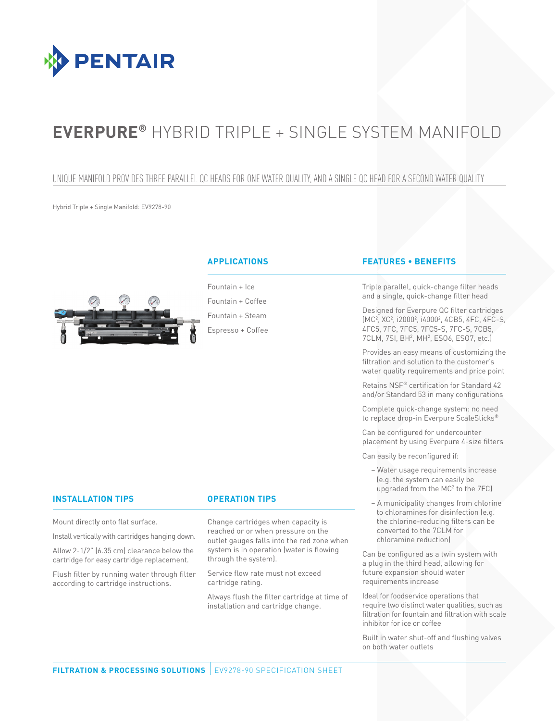

# **Everpure®** Hybrid Triple + Single System Manifold

## Unique manifold provides three parallel QC heads for one water quality, and a single QC head for a second water quality

Hybrid Triple + Single Manifold: EV9278-90



Fountain + Ice Fountain + Coffee Fountain + Steam Espresso + Coffee

## **Applications Features • Benefits**

Triple parallel, quick-change filter heads and a single, quick-change filter head

Designed for Everpure QC filter cartridges (MC2 , XC2 , i20002 , i40002 , 4CB5, 4FC, 4FC-S, 4FC5, 7FC, 7FC5, 7FC5-S, 7FC-S, 7CB5, 7CLM, 7SI, BH<sup>2</sup>, MH<sup>2</sup>, ES06, ES07, etc.)

Provides an easy means of customizing the filtration and solution to the customer's water quality requirements and price point

Retains NSF® certification for Standard 42 and/or Standard 53 in many configurations

Complete quick-change system: no need to replace drop-in Everpure ScaleSticks®

Can be configured for undercounter placement by using Everpure 4-size filters

Can easily be reconfigured if:

- − Water usage requirements increase (e.g. the system can easily be upgraded from the MC<sup>2</sup> to the 7FC)
- − A municipality changes from chlorine to chloramines for disinfection (e.g. the chlorine-reducing filters can be converted to the 7CLM for chloramine reduction)

Can be configured as a twin system with a plug in the third head, allowing for future expansion should water requirements increase

Ideal for foodservice operations that require two distinct water qualities, such as filtration for fountain and filtration with scale inhibitor for ice or coffee

Built in water shut-off and flushing valves on both water outlets

## **Installation Tips Operation Tips**

Mount directly onto flat surface.

Install vertically with cartridges hanging down.

Allow 2-1/2" (6.35 cm) clearance below the cartridge for easy cartridge replacement.

Flush filter by running water through filter according to cartridge instructions.

Change cartridges when capacity is reached or or when pressure on the outlet gauges falls into the red zone when system is in operation (water is flowing through the system).

Service flow rate must not exceed cartridge rating.

Always flush the filter cartridge at time of installation and cartridge change.